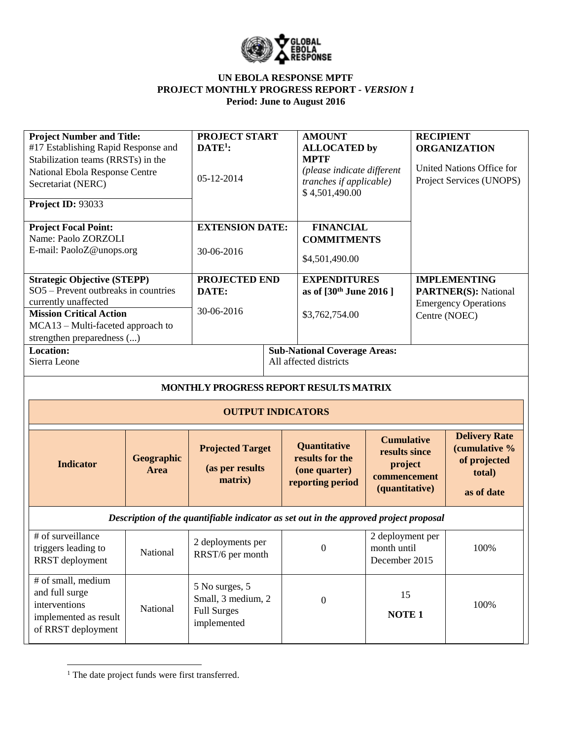

| <b>Project Number and Title:</b><br>#17 Establishing Rapid Response and<br>Stabilization teams (RRSTs) in the<br>National Ebola Response Centre<br>Secretariat (NERC)<br>Project ID: 93033              |                    | PROJECT START<br>$DATE1$ :<br>05-12-2014                                  |  | <b>AMOUNT</b><br><b>ALLOCATED</b> by<br><b>MPTF</b><br>(please indicate different<br>tranches if applicable)<br>\$4,501,490.00 |                                                                                 | <b>RECIPIENT</b><br><b>ORGANIZATION</b><br>United Nations Office for<br>Project Services (UNOPS) |                                                                                                    |  |
|---------------------------------------------------------------------------------------------------------------------------------------------------------------------------------------------------------|--------------------|---------------------------------------------------------------------------|--|--------------------------------------------------------------------------------------------------------------------------------|---------------------------------------------------------------------------------|--------------------------------------------------------------------------------------------------|----------------------------------------------------------------------------------------------------|--|
| <b>Project Focal Point:</b><br>Name: Paolo ZORZOLI<br>E-mail: PaoloZ@unops.org                                                                                                                          |                    | <b>EXTENSION DATE:</b><br>30-06-2016                                      |  | <b>FINANCIAL</b><br><b>COMMITMENTS</b><br>\$4,501,490.00                                                                       |                                                                                 |                                                                                                  |                                                                                                    |  |
| <b>Strategic Objective (STEPP)</b><br>SO5 - Prevent outbreaks in countries<br>currently unaffected<br><b>Mission Critical Action</b><br>MCA13 - Multi-faceted approach to<br>strengthen preparedness () |                    | PROJECTED END<br>DATE:<br>30-06-2016                                      |  | <b>EXPENDITURES</b><br>as of [30 <sup>th</sup> June 2016]<br>\$3,762,754.00                                                    |                                                                                 |                                                                                                  | <b>IMPLEMENTING</b><br><b>PARTNER(S): National</b><br><b>Emergency Operations</b><br>Centre (NOEC) |  |
| Location:<br>Sierra Leone                                                                                                                                                                               |                    |                                                                           |  | <b>Sub-National Coverage Areas:</b><br>All affected districts                                                                  |                                                                                 |                                                                                                  |                                                                                                    |  |
|                                                                                                                                                                                                         |                    | MONTHLY PROGRESS REPORT RESULTS MATRIX                                    |  |                                                                                                                                |                                                                                 |                                                                                                  |                                                                                                    |  |
|                                                                                                                                                                                                         |                    | <b>OUTPUT INDICATORS</b>                                                  |  |                                                                                                                                |                                                                                 |                                                                                                  |                                                                                                    |  |
| <b>Indicator</b>                                                                                                                                                                                        | Geographic<br>Area | <b>Projected Target</b><br>(as per results<br>matrix)                     |  | Quantitative<br>results for the<br>(one quarter)<br>reporting period                                                           | <b>Cumulative</b><br>results since<br>project<br>commencement<br>(quantitative) |                                                                                                  | <b>Delivery Rate</b><br>(cumulative %<br>of projected<br>total)<br>as of date                      |  |
| Description of the quantifiable indicator as set out in the approved project proposal                                                                                                                   |                    |                                                                           |  |                                                                                                                                |                                                                                 |                                                                                                  |                                                                                                    |  |
| # of surveillance<br>triggers leading to<br>RRST deployment                                                                                                                                             | National           | 2 deployments per<br>RRST/6 per month                                     |  | $\boldsymbol{0}$                                                                                                               | 2 deployment per<br>month until<br>December 2015                                |                                                                                                  | 100%                                                                                               |  |
| # of small, medium<br>and full surge<br>interventions<br>implemented as result<br>of RRST deployment                                                                                                    | National           | 5 No surges, 5<br>Small, 3 medium, 2<br><b>Full Surges</b><br>implemented |  | $\boldsymbol{0}$                                                                                                               | 15<br><b>NOTE 1</b>                                                             |                                                                                                  | 100%                                                                                               |  |

<sup>&</sup>lt;sup>1</sup> The date project funds were first transferred.

 $\overline{\phantom{a}}$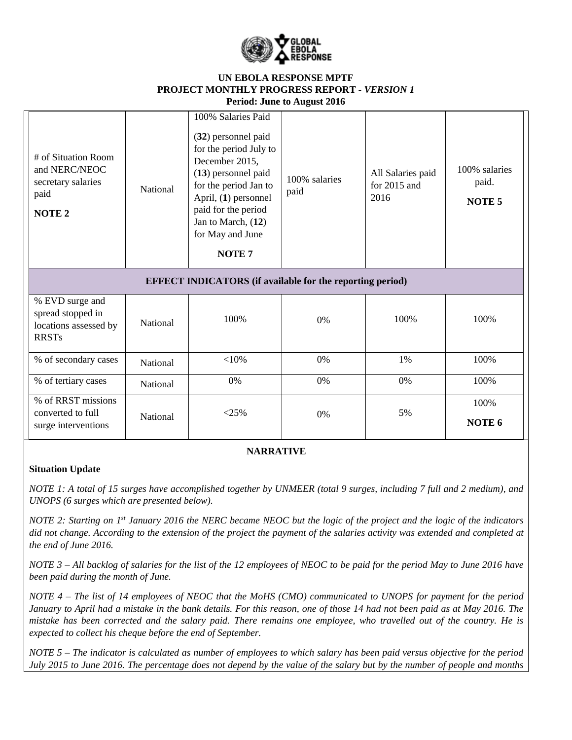

| # of Situation Room<br>and NERC/NEOC<br>secretary salaries<br>paid<br><b>NOTE 2</b> | National | 100% Salaries Paid<br>(32) personnel paid<br>for the period July to<br>December 2015,<br>$(13)$ personnel paid<br>for the period Jan to<br>April, (1) personnel<br>paid for the period<br>Jan to March, (12)<br>for May and June<br><b>NOTE 7</b> | 100% salaries<br>paid | All Salaries paid<br>for $2015$ and<br>2016 | 100% salaries<br>paid.<br>NOTE <sub>5</sub> |
|-------------------------------------------------------------------------------------|----------|---------------------------------------------------------------------------------------------------------------------------------------------------------------------------------------------------------------------------------------------------|-----------------------|---------------------------------------------|---------------------------------------------|
|                                                                                     |          | <b>EFFECT INDICATORS</b> (if available for the reporting period)                                                                                                                                                                                  |                       |                                             |                                             |
| % EVD surge and<br>spread stopped in<br>locations assessed by<br><b>RRSTs</b>       | National | 100%                                                                                                                                                                                                                                              | $0\%$                 | 100\%                                       | 100%                                        |
| % of secondary cases                                                                | National | $<$ 10%                                                                                                                                                                                                                                           | 0%                    | 1%                                          | 100%                                        |
| % of tertiary cases                                                                 | National | 0%                                                                                                                                                                                                                                                | 0%                    | 0%                                          | 100%                                        |
| % of RRST missions<br>converted to full<br>surge interventions                      | National | $<$ 25%                                                                                                                                                                                                                                           | 0%                    | 5%                                          | 100%<br>NOTE 6                              |

### **NARRATIVE**

#### **Situation Update**

*NOTE 1: A total of 15 surges have accomplished together by UNMEER (total 9 surges, including 7 full and 2 medium), and UNOPS (6 surges which are presented below).* 

*NOTE 2: Starting on 1st January 2016 the NERC became NEOC but the logic of the project and the logic of the indicators did not change. According to the extension of the project the payment of the salaries activity was extended and completed at the end of June 2016.*

*NOTE 3 – All backlog of salaries for the list of the 12 employees of NEOC to be paid for the period May to June 2016 have been paid during the month of June.*

*NOTE 4 – The list of 14 employees of NEOC that the MoHS (CMO) communicated to UNOPS for payment for the period January to April had a mistake in the bank details. For this reason, one of those 14 had not been paid as at May 2016. The mistake has been corrected and the salary paid. There remains one employee, who travelled out of the country. He is expected to collect his cheque before the end of September.*

*NOTE 5 – The indicator is calculated as number of employees to which salary has been paid versus objective for the period July 2015 to June 2016. The percentage does not depend by the value of the salary but by the number of people and months*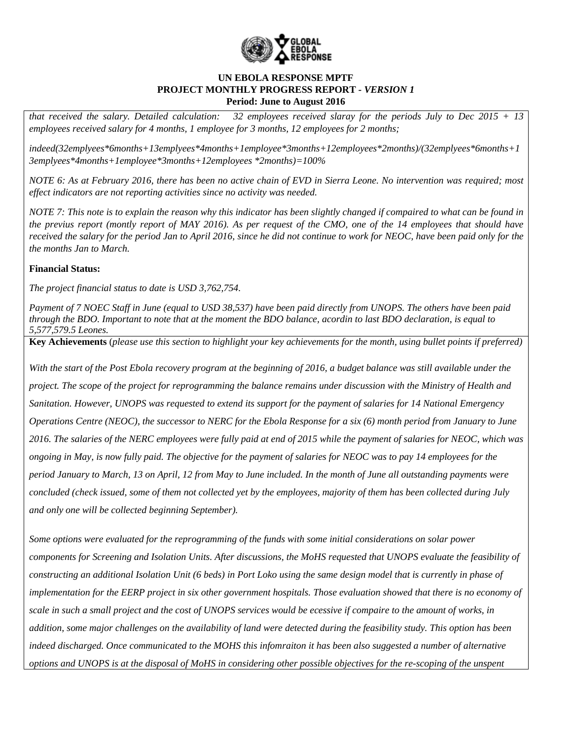

*that received the salary. Detailed calculation: 32 employees received slaray for the periods July to Dec 2015 + 13 employees received salary for 4 months, 1 employee for 3 months, 12 employees for 2 months;*

*indeed(32emplyees\*6months+13emplyees\*4months+1employee\*3months+12employees\*2months)/(32emplyees\*6months+1 3emplyees\*4months+1employee\*3months+12employees \*2months)=100%*

*NOTE 6: As at February 2016, there has been no active chain of EVD in Sierra Leone. No intervention was required; most effect indicators are not reporting activities since no activity was needed.* 

*NOTE 7: This note is to explain the reason why this indicator has been slightly changed if compaired to what can be found in the previus report (montly report of MAY 2016). As per request of the CMO, one of the 14 employees that should have received the salary for the period Jan to April 2016, since he did not continue to work for NEOC, have been paid only for the the months Jan to March.*

## **Financial Status:**

*The project financial status to date is USD 3,762,754.*

*Payment of 7 NOEC Staff in June (equal to USD 38,537) have been paid directly from UNOPS. The others have been paid through the BDO. Important to note that at the moment the BDO balance, acordin to last BDO declaration, is equal to 5,577,579.5 Leones.*

**Key Achievements** (*please use this section to highlight your key achievements for the month, using bullet points if preferred)*

*With the start of the Post Ebola recovery program at the beginning of 2016, a budget balance was still available under the project. The scope of the project for reprogramming the balance remains under discussion with the Ministry of Health and Sanitation. However, UNOPS was requested to extend its support for the payment of salaries for 14 National Emergency Operations Centre (NEOC), the successor to NERC for the Ebola Response for a six (6) month period from January to June 2016. The salaries of the NERC employees were fully paid at end of 2015 while the payment of salaries for NEOC, which was ongoing in May, is now fully paid. The objective for the payment of salaries for NEOC was to pay 14 employees for the period January to March, 13 on April, 12 from May to June included. In the month of June all outstanding payments were concluded (check issued, some of them not collected yet by the employees, majority of them has been collected during July and only one will be collected beginning September).*

*Some options were evaluated for the reprogramming of the funds with some initial considerations on solar power components for Screening and Isolation Units. After discussions, the MoHS requested that UNOPS evaluate the feasibility of constructing an additional Isolation Unit (6 beds) in Port Loko using the same design model that is currently in phase of implementation for the EERP project in six other government hospitals. Those evaluation showed that there is no economy of scale in such a small project and the cost of UNOPS services would be ecessive if compaire to the amount of works, in addition, some major challenges on the availability of land were detected during the feasibility study. This option has been indeed discharged. Once communicated to the MOHS this infomraiton it has been also suggested a number of alternative options and UNOPS is at the disposal of MoHS in considering other possible objectives for the re-scoping of the unspent*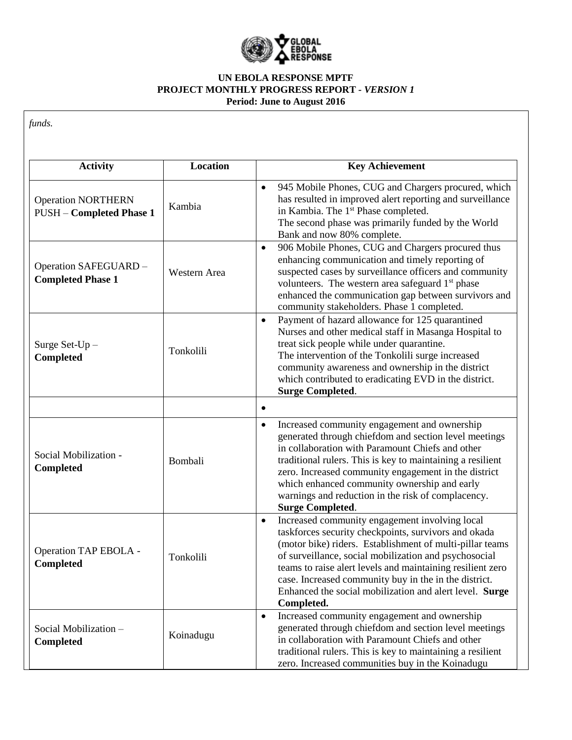

| <b>Activity</b>                                              | <b>Location</b> | <b>Key Achievement</b>                                                                                                                                                                                                                                                                                                                                                                                                                   |
|--------------------------------------------------------------|-----------------|------------------------------------------------------------------------------------------------------------------------------------------------------------------------------------------------------------------------------------------------------------------------------------------------------------------------------------------------------------------------------------------------------------------------------------------|
| <b>Operation NORTHERN</b><br><b>PUSH - Completed Phase 1</b> | Kambia          | 945 Mobile Phones, CUG and Chargers procured, which<br>$\bullet$<br>has resulted in improved alert reporting and surveillance<br>in Kambia. The 1 <sup>st</sup> Phase completed.<br>The second phase was primarily funded by the World<br>Bank and now 80% complete.                                                                                                                                                                     |
| Operation SAFEGUARD -<br><b>Completed Phase 1</b>            | Western Area    | 906 Mobile Phones, CUG and Chargers procured thus<br>$\bullet$<br>enhancing communication and timely reporting of<br>suspected cases by surveillance officers and community<br>volunteers. The western area safeguard 1 <sup>st</sup> phase<br>enhanced the communication gap between survivors and<br>community stakeholders. Phase 1 completed.                                                                                        |
| Surge Set-Up-<br><b>Completed</b>                            | Tonkolili       | Payment of hazard allowance for 125 quarantined<br>$\bullet$<br>Nurses and other medical staff in Masanga Hospital to<br>treat sick people while under quarantine.<br>The intervention of the Tonkolili surge increased<br>community awareness and ownership in the district<br>which contributed to eradicating EVD in the district.<br><b>Surge Completed.</b>                                                                         |
|                                                              |                 |                                                                                                                                                                                                                                                                                                                                                                                                                                          |
| Social Mobilization -<br><b>Completed</b>                    | Bombali         | Increased community engagement and ownership<br>$\bullet$<br>generated through chiefdom and section level meetings<br>in collaboration with Paramount Chiefs and other<br>traditional rulers. This is key to maintaining a resilient<br>zero. Increased community engagement in the district<br>which enhanced community ownership and early<br>warnings and reduction in the risk of complacency.<br><b>Surge Completed.</b>            |
| Operation TAP EBOLA -<br><b>Completed</b>                    | Tonkolili       | Increased community engagement involving local<br>$\bullet$<br>taskforces security checkpoints, survivors and okada<br>(motor bike) riders. Establishment of multi-pillar teams<br>of surveillance, social mobilization and psychosocial<br>teams to raise alert levels and maintaining resilient zero<br>case. Increased community buy in the in the district.<br>Enhanced the social mobilization and alert level. Surge<br>Completed. |
| Social Mobilization-<br><b>Completed</b>                     | Koinadugu       | Increased community engagement and ownership<br>$\bullet$<br>generated through chiefdom and section level meetings<br>in collaboration with Paramount Chiefs and other<br>traditional rulers. This is key to maintaining a resilient<br>zero. Increased communities buy in the Koinadugu                                                                                                                                                 |